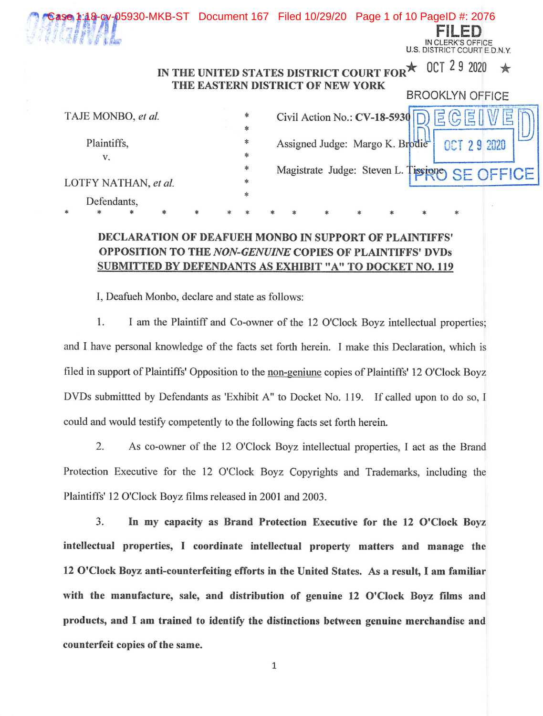FILED :lerk's offk TRiCT COURT IN CLERK'S OFFICE U.S. DISTRICT COURT E.D.N.Y.

#### IN THE UNITED STATES DISTRICT COURT FOR  $\star$  0CT 2 9 2020  $\star$ THE EASTERN DISTRICT OF NEW YORK BROOKLYN OFFICE

| TAJE MONBO, et al.   |    |  |  |   | * |                                 | Civil Action No.: $CV-18-5930$ |                                                | E(G) |  |
|----------------------|----|--|--|---|---|---------------------------------|--------------------------------|------------------------------------------------|------|--|
|                      |    |  |  |   |   |                                 |                                |                                                |      |  |
| Plaintiffs,          |    |  |  | * |   | Assigned Judge: Margo K. Brodie |                                | OCT 29 2020                                    |      |  |
|                      | v. |  |  |   | * |                                 |                                |                                                |      |  |
|                      |    |  |  | * |   |                                 |                                | Magistrate Judge: Steven L. Tissiono SE OFFICE |      |  |
| LOTFY NATHAN, et al. |    |  |  | 氺 |   |                                 |                                |                                                |      |  |
| Defendants,          |    |  |  |   |   |                                 |                                |                                                |      |  |
|                      |    |  |  |   |   |                                 |                                |                                                |      |  |

## DECLARATION OF DEAFUEH MONBO IN SUPPORT OF PLAINTIFFS' OPPOSITION TO THE NON-GENUINE COPIES OF PLAINTIFFS' DVDs SUBMITTED BY DEFENDANTS AS EXHIBIT "A" TO DOCKET NO. 119

I, Deafueh Monbo, declare and state as follows:

1. I am the Plaintiff and Co-owner of the 12 O'Clock Boyz intellectual properties; and I have personal knowledge of the facts set forth herein. 1 make this Declaration, which is filed in support of Plaintiffs' Opposition to the non-geniune copies of Plaintiffs' 12 O'Clock Boyz DVDs submittted by Defendants as 'Exhibit A" to Docket No. 119. If called upon to do so, I could and would testify competently to the following facts set forth herein.

2. As co-owner of the 12 O'Clock Boyz intellectual properties, I act as the Brand Protection Executive for the 12 O'Clock Boyz Copyrights and Trademarks, including the Plaintiffs' 12 O'Clock Boyz films released in 2001 and 2003.

3. In my capacity as Brand Protection Executive for the 12 O'Clock Boyz intellectual properties, I coordinate intellectual property matters and manage the 12 O'clock Boyz anti-counterfeiting efforts in the United States. As a result, I am familiar with the manufacture, sale, and distribution of genuine 12 O'Clock Boyz films and products, and I am trained to identify the distinctions between genuine merchandise and counterfeit copies of the same.

 $\mathbf{1}$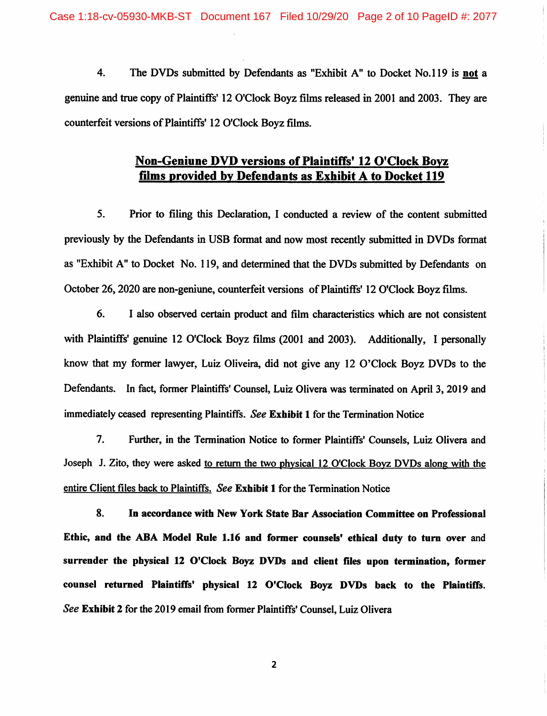4. The DVDs submitted by Defendants as "Exhibit A" to Docket No.ll9 is not a genuine and true copy of Plaintiffs' 12 O'Clock Boyz films released in 2001 and 2003. They are counterfeit versions of Plaintiffs' 12 O'Clock Boyz films.

### Non-Geniune DVD versions of Plaintiffs\* 12 O'Clock Bovz films provided by Defendants as Exhibit A to Docket 119

5. Prior to filing this Declaration, I conducted a review of the content submitted previously by the Defendants in USB format and now most recently submitted in DVDs format as "Exhibit A" to Docket No. 119, and determined that the DVDs submitted by Defendants on October 26,2020 are non-geniune, counterfeit versions of Plaintiffs' 12 O'Clock Boyz films.

6. I also observed certain product and film characteristics which are not consistent with Plaintiffs' genuine 12 O'Clock Boyz films (2001 and 2003). Additionally, I personally know that my former lawyer, Luiz Oliveira, did not give any 12 O'Clock Boyz DVDs to the Defendants. In fact, former Plaintiffs' Counsel, Luiz Olivera was terminated on April 3, 2019 and immediately ceased representing Plaintiffs. See Exhibit 1 for the Termination Notice

7. Further, in the Termination Notice to former Plaintiffs' Counsels, Luiz Olivera and Joseph J. Zito, they were asked to return the two physical 12 O'Clock Boyz DVDs along with the entire Client files back to Plaintiffs. See Exhibit 1 for the Termination Notice

8. In accordance with New York State Bar Association Committee on Professional Ethic, and the ABA Model Rule 1.16 and former counsels' ethical duty to turn over and surrender the physical 12 O'Clock Boyz DVDs and client files upon termination, former counsel returned Plaintiffs' physical 12 O'Clock Boyz DVDs back to the Plaintiffs. See Exhibit 2 for the 2019 email from former Plaintiffs' Counsel, Luiz Olivera

 $\overline{2}$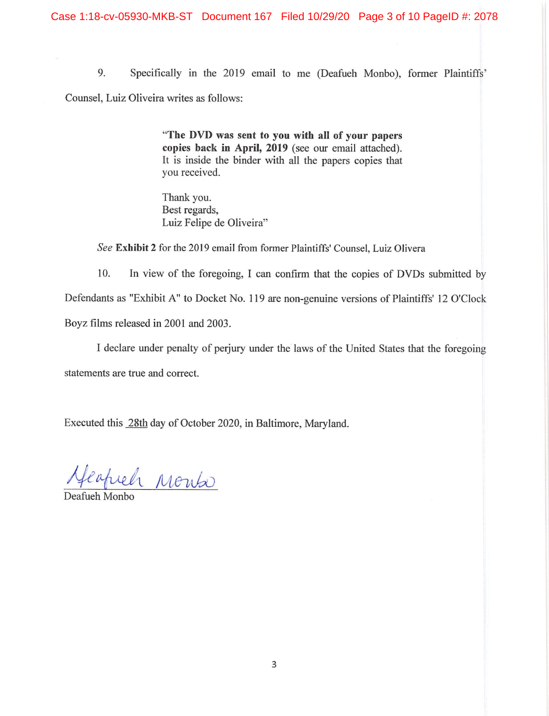9. Specifically in the 2019 email to me (Deafueh Monbo), fonner Plaintiffs' Counsel, Luiz Oliveira writes as follows:

> "The DVD was sent to you with all of your papers copies back in April, 2019 (see our email attached). It is inside the binder with all the papers copies that you received.

Thank you. Best regards, Luiz Felipe de Oliveira"

See Exhibit 2 for the 2019 email from former Plaintiffs' Counsel, Luiz Olivera

10. In view of the foregoing, I can confirm that the copies of DVDs submitted by Defendants as "Exhibit A" to Docket No. 119 are non-genuine versions of Plaintiffs' 12 O'Clock Boyz films released in 2001 and 2003.

I declare under penalty of perjury under the laws of the United States that the foregoing statements are true and correct.

Executed this 28th day of October 2020, in Baltimore, Maryland.

1 Monta

Deafueh Monbo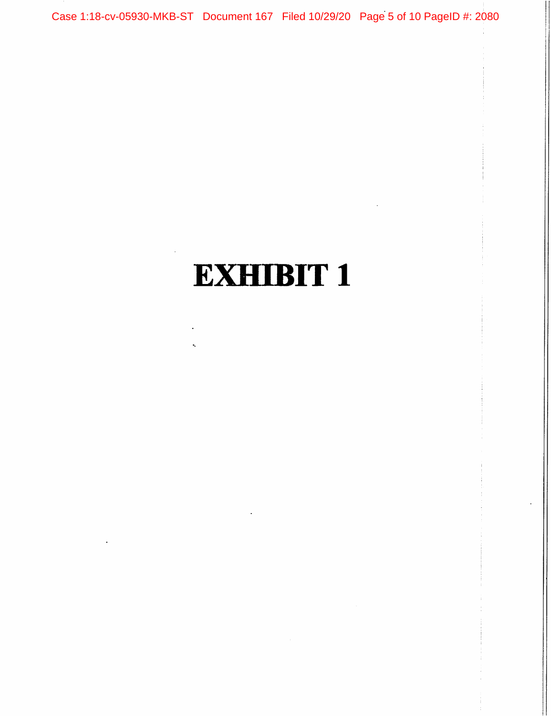Case 1:18-cv-05930-MKB-ST Document 167 Filed 10/29/20 Page 5 of 10 PageID #: 2080

## **EXHIBIT 1 EXHIBIT 1**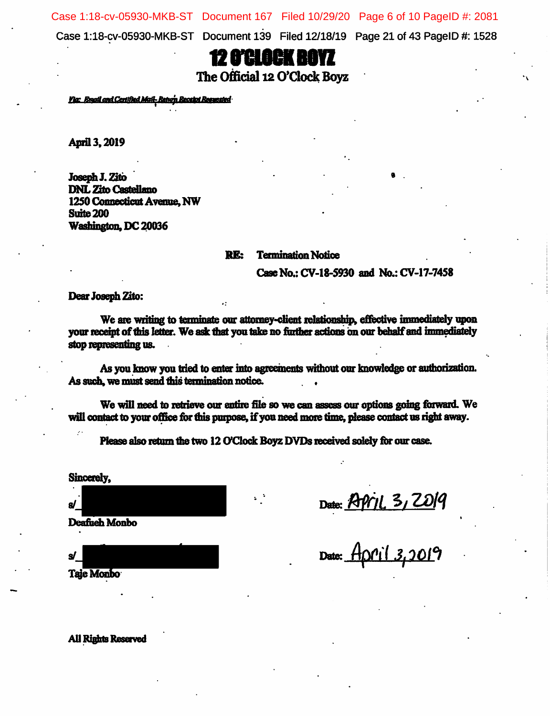Case 1:18-cv-05930-MKB-ST Document 167 Filed 10/29/20 Page 6 of 10 PageID #: 2081

Case l:18-cv-05930-MKB-ST Document 139 Filed 12/18/19 Page 21 of 43 PagelD #: 1528

## 12 o'clock boyz

The Official 12 O'Clock Boyz

<u>Via: Email and Certified Mail-Esturn Receipt Requested</u>

April 3, 2019

Joseph J. Zito DNL Zito Castellano 1250 Connecticut Avenue, NW Suite 200 Washington, DC 20036

RE: Termination Notice

Case No.: CV-18-5930 and No.: CV-17-7458

Dear Joseph Zito:

We are writing to terminate our attorney-client relationship, effective immediately upon your receint of this letter. We ask that you take no further actions on our behalf and immediately stop representing us.

As you know you tried to enter into agreements without our knowledge or authorization. As such, we must send this termination notice.

We will need to retrieve our entire file so we can assess our options going forward. We will contact to your office for this purpose, if you need more time, please contact us right away.

Please also return the two 12 O'Clock Boyz DVDs received solely for our case.

Sincerely.

 $\mathbb{E}$  Date:  $\mathbb{E}$   $\mathbb{E}$   $\mathbb{E}$   $\mathbb{E}$   $\mathbb{E}$   $\mathbb{E}$   $\mathbb{E}$   $\mathbb{E}$   $\mathbb{E}$   $\mathbb{E}$   $\mathbb{E}$   $\mathbb{E}$   $\mathbb{E}$   $\mathbb{E}$   $\mathbb{E}$   $\mathbb{E}$   $\mathbb{E}$   $\mathbb{E}$   $\mathbb{E}$   $\mathbb{E}$   $\mathbb{E}$   $\mathbb{E}$   $\mathbb{E}$ Deafueh Monbo

Date: <u>\_</u>

Taje Monbo

**All Rights Reserved**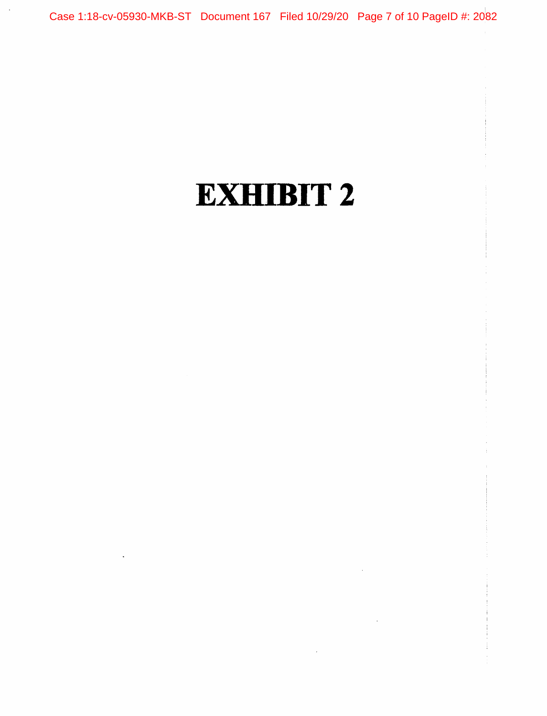Case 1:18-cv-05930-MKB-ST Document 167 Filed 10/29/20 Page 7 of 10 PageID #: 2082

# EXHIBIT 2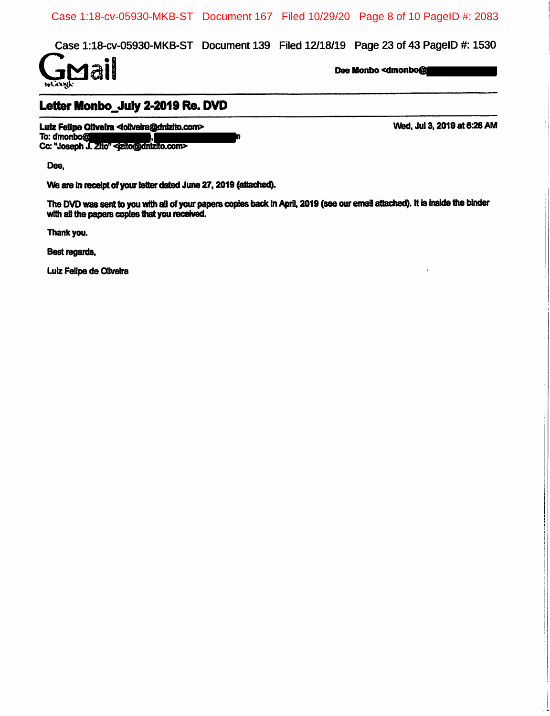Case 1:18-cv-05930-MKB-ST Document 167 Filed 10/29/20 Page 8 of 10 PageID #: 2083

Case 1:18-cv-05930-MKB-ST Document 139 Filed 12/18/19 Page 23 of 43 PageID #: 1530



## Letter Monbo\_July 2-2019 Re. DVD

Luiz Feilipe Oilveira <loilveira@dnlzito.com><br>
To: dmonbo@**dnl**ead(a), Decision Company in To: dmonbo@dnlzito.com><br>
To: dmonbo@dnl To:  $\alpha$  . The  $\alpha$  . The  $\alpha$  is  $\alpha$  is  $\alpha$  . The  $\alpha$  is  $\alpha$  is  $\alpha$  . The  $\alpha$  is  $\alpha$  is  $\alpha$  is  $\alpha$  is  $\alpha$  is  $\alpha$  is  $\alpha$  is  $\alpha$  is  $\alpha$  is  $\alpha$  is  $\alpha$  is  $\alpha$  is  $\alpha$  is  $\alpha$  is  $\alpha$  is  $\alpha$  is  $\alpha$  is  $\alpha$  Cc: "Joseph J. Zito" <jzito@dnlzito.com>

Dee,

We are in receipt of your letter dated June 27, 2019 (attached).

The DVD was sent to you with all of your papers copies back in April, 2019 (see our email attached). It is inside the binder with all the papers copies that you received.

Thank you.

Best regards,

Luiz Felipe de Oliveira